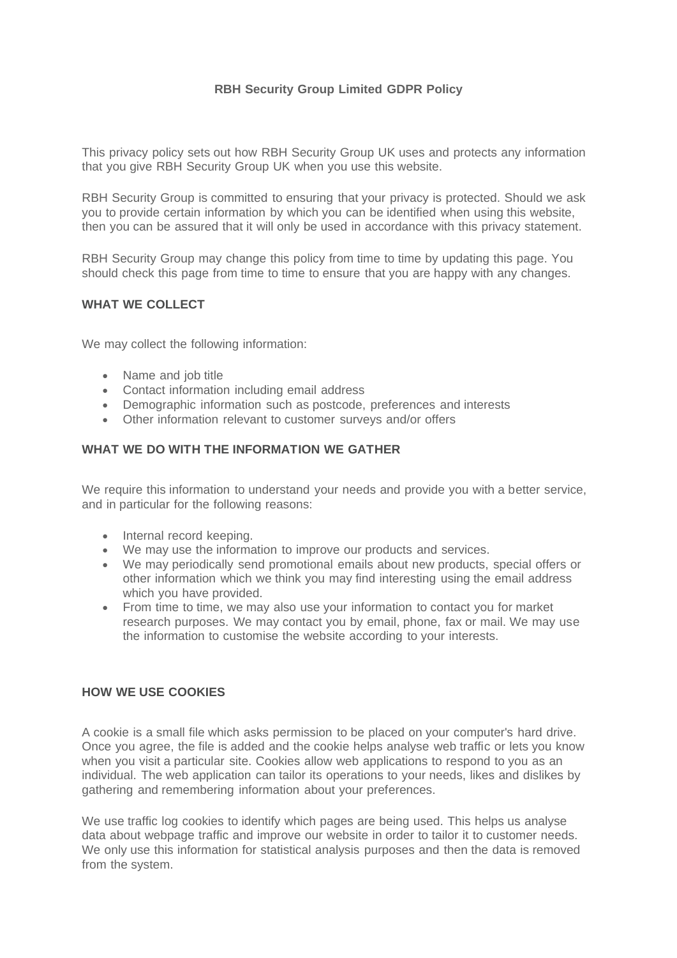## **RBH Security Group Limited GDPR Policy**

This privacy policy sets out how RBH Security Group UK uses and protects any information that you give RBH Security Group UK when you use this website.

RBH Security Group is committed to ensuring that your privacy is protected. Should we ask you to provide certain information by which you can be identified when using this website, then you can be assured that it will only be used in accordance with this privacy statement.

RBH Security Group may change this policy from time to time by updating this page. You should check this page from time to time to ensure that you are happy with any changes.

### **WHAT WE COLLECT**

We may collect the following information:

- Name and job title
- Contact information including email address
- Demographic information such as postcode, preferences and interests
- Other information relevant to customer surveys and/or offers

# **WHAT WE DO WITH THE INFORMATION WE GATHER**

We require this information to understand your needs and provide you with a better service, and in particular for the following reasons:

- Internal record keeping.
- We may use the information to improve our products and services.
- We may periodically send promotional emails about new products, special offers or other information which we think you may find interesting using the email address which you have provided.
- From time to time, we may also use your information to contact you for market research purposes. We may contact you by email, phone, fax or mail. We may use the information to customise the website according to your interests.

## **HOW WE USE COOKIES**

A cookie is a small file which asks permission to be placed on your computer's hard drive. Once you agree, the file is added and the cookie helps analyse web traffic or lets you know when you visit a particular site. Cookies allow web applications to respond to you as an individual. The web application can tailor its operations to your needs, likes and dislikes by gathering and remembering information about your preferences.

We use traffic log cookies to identify which pages are being used. This helps us analyse data about webpage traffic and improve our website in order to tailor it to customer needs. We only use this information for statistical analysis purposes and then the data is removed from the system.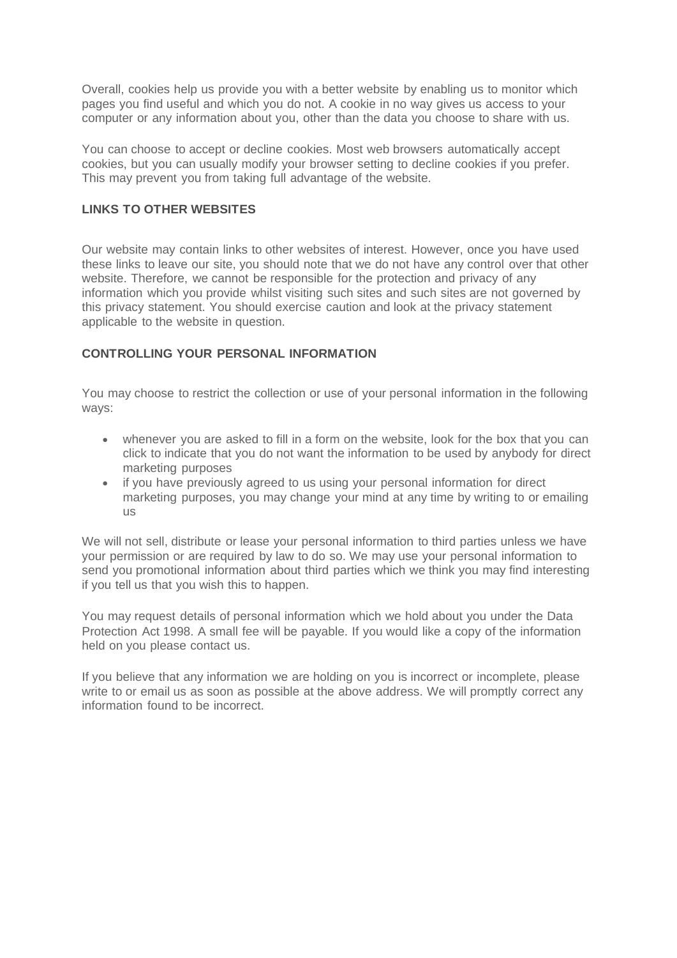Overall, cookies help us provide you with a better website by enabling us to monitor which pages you find useful and which you do not. A cookie in no way gives us access to your computer or any information about you, other than the data you choose to share with us.

You can choose to accept or decline cookies. Most web browsers automatically accept cookies, but you can usually modify your browser setting to decline cookies if you prefer. This may prevent you from taking full advantage of the website.

## **LINKS TO OTHER WEBSITES**

Our website may contain links to other websites of interest. However, once you have used these links to leave our site, you should note that we do not have any control over that other website. Therefore, we cannot be responsible for the protection and privacy of any information which you provide whilst visiting such sites and such sites are not governed by this privacy statement. You should exercise caution and look at the privacy statement applicable to the website in question.

### **CONTROLLING YOUR PERSONAL INFORMATION**

You may choose to restrict the collection or use of your personal information in the following ways:

- whenever you are asked to fill in a form on the website, look for the box that you can click to indicate that you do not want the information to be used by anybody for direct marketing purposes
- if you have previously agreed to us using your personal information for direct marketing purposes, you may change your mind at any time by writing to or emailing us

We will not sell, distribute or lease your personal information to third parties unless we have your permission or are required by law to do so. We may use your personal information to send you promotional information about third parties which we think you may find interesting if you tell us that you wish this to happen.

You may request details of personal information which we hold about you under the Data Protection Act 1998. A small fee will be payable. If you would like a copy of the information held on you please contact us.

If you believe that any information we are holding on you is incorrect or incomplete, please write to or email us as soon as possible at the above address. We will promptly correct any information found to be incorrect.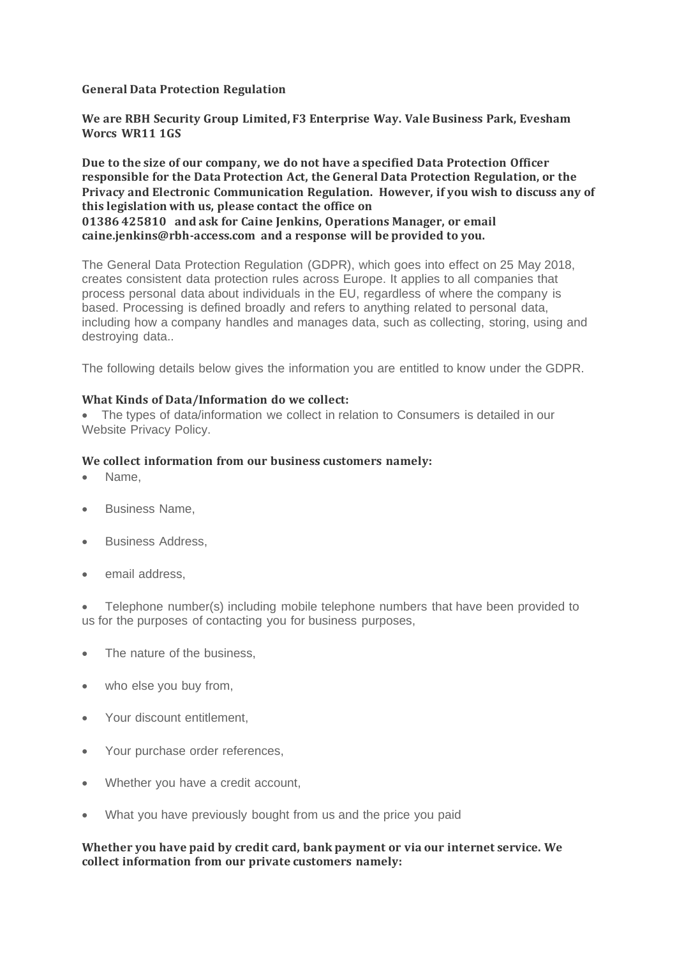### **General Data Protection Regulation**

**We are RBH Security Group Limited, F3 Enterprise Way. Vale Business Park, Evesham Worcs WR11 1GS**

**Due to the size of our company, we do not have a specified Data Protection Officer responsible for the Data Protection Act, the General Data Protection Regulation, or the Privacy and Electronic Communication Regulation. However, if you wish to discuss any of this legislation with us, please contact the office on 01386 425810 and ask for Caine Jenkins, Operations Manager, or email caine.jenkins@rbh-access.com and a response will be provided to you.**

The General Data Protection Regulation (GDPR), which goes into effect on 25 May 2018, creates consistent data protection rules across Europe. It applies to all companies that process personal data about individuals in the EU, regardless of where the company is based. Processing is defined broadly and refers to anything related to personal data, including how a company handles and manages data, such as collecting, storing, using and destroying data..

The following details below gives the information you are entitled to know under the GDPR.

### **What Kinds of Data/Information do we collect:**

• The types of data/information we collect in relation to Consumers is detailed in our Website Privacy Policy.

### **We collect information from our business customers namely:**

- Name.
- Business Name,
- Business Address,
- email address,

• Telephone number(s) including mobile telephone numbers that have been provided to us for the purposes of contacting you for business purposes,

- The nature of the business,
- who else you buy from,
- Your discount entitlement.
- Your purchase order references,
- Whether you have a credit account,
- What you have previously bought from us and the price you paid

### **Whether you have paid by credit card, bank payment or via our internet service. We collect information from our private customers namely:**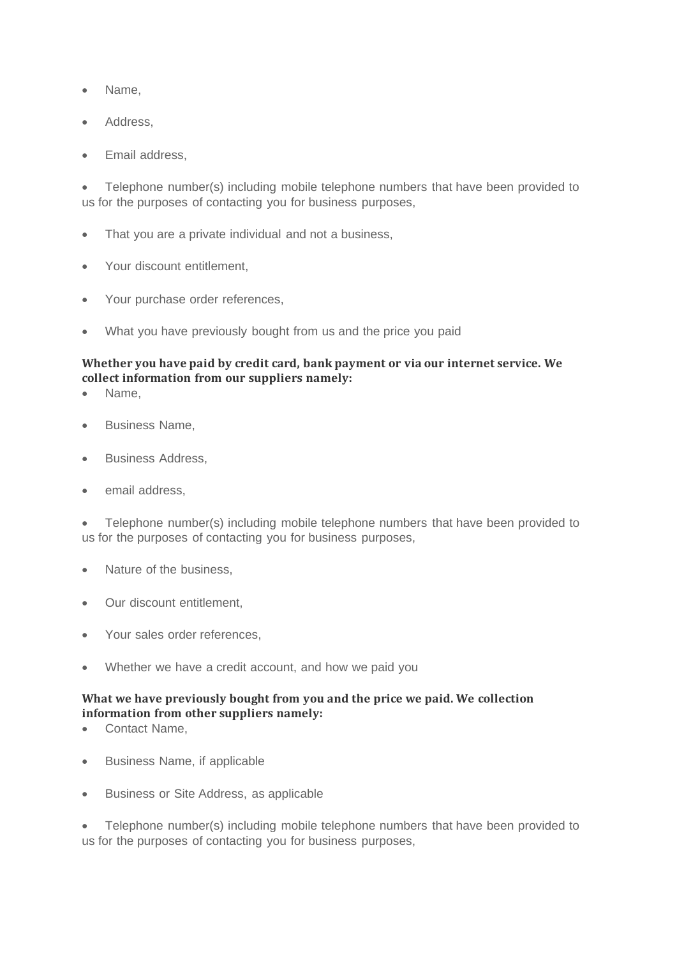- Name,
- Address,
- Email address,

• Telephone number(s) including mobile telephone numbers that have been provided to us for the purposes of contacting you for business purposes,

- That you are a private individual and not a business,
- Your discount entitlement,
- Your purchase order references,
- What you have previously bought from us and the price you paid

## **Whether you have paid by credit card, bank payment or via our internet service. We collect information from our suppliers namely:**

- Name,
- Business Name,
- Business Address,
- email address,

• Telephone number(s) including mobile telephone numbers that have been provided to us for the purposes of contacting you for business purposes,

- Nature of the business.
- Our discount entitlement,
- Your sales order references,
- Whether we have a credit account, and how we paid you

## **What we have previously bought from you and the price we paid. We collection information from other suppliers namely:**

- Contact Name,
- Business Name, if applicable
- Business or Site Address, as applicable

• Telephone number(s) including mobile telephone numbers that have been provided to us for the purposes of contacting you for business purposes,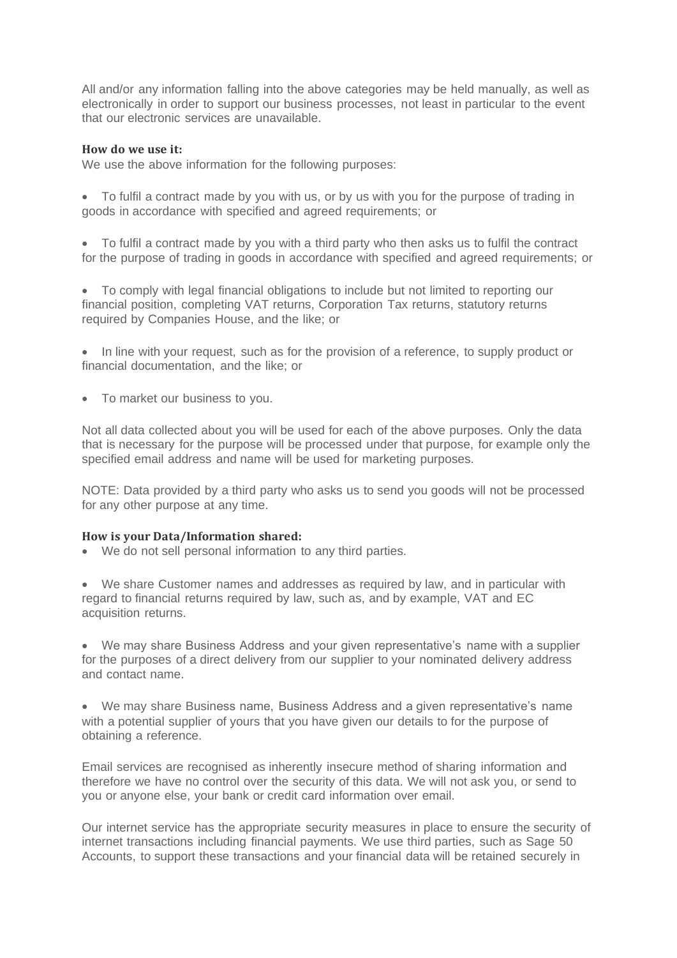All and/or any information falling into the above categories may be held manually, as well as electronically in order to support our business processes, not least in particular to the event that our electronic services are unavailable.

### **How do we use it:**

We use the above information for the following purposes:

• To fulfil a contract made by you with us, or by us with you for the purpose of trading in goods in accordance with specified and agreed requirements; or

• To fulfil a contract made by you with a third party who then asks us to fulfil the contract for the purpose of trading in goods in accordance with specified and agreed requirements; or

• To comply with legal financial obligations to include but not limited to reporting our financial position, completing VAT returns, Corporation Tax returns, statutory returns required by Companies House, and the like; or

• In line with your request, such as for the provision of a reference, to supply product or financial documentation, and the like; or

• To market our business to you.

Not all data collected about you will be used for each of the above purposes. Only the data that is necessary for the purpose will be processed under that purpose, for example only the specified email address and name will be used for marketing purposes.

NOTE: Data provided by a third party who asks us to send you goods will not be processed for any other purpose at any time.

#### **How is your Data/Information shared:**

• We do not sell personal information to any third parties.

• We share Customer names and addresses as required by law, and in particular with regard to financial returns required by law, such as, and by example, VAT and EC acquisition returns.

• We may share Business Address and your given representative's name with a supplier for the purposes of a direct delivery from our supplier to your nominated delivery address and contact name.

• We may share Business name, Business Address and a given representative's name with a potential supplier of yours that you have given our details to for the purpose of obtaining a reference.

Email services are recognised as inherently insecure method of sharing information and therefore we have no control over the security of this data. We will not ask you, or send to you or anyone else, your bank or credit card information over email.

Our internet service has the appropriate security measures in place to ensure the security of internet transactions including financial payments. We use third parties, such as Sage 50 Accounts, to support these transactions and your financial data will be retained securely in